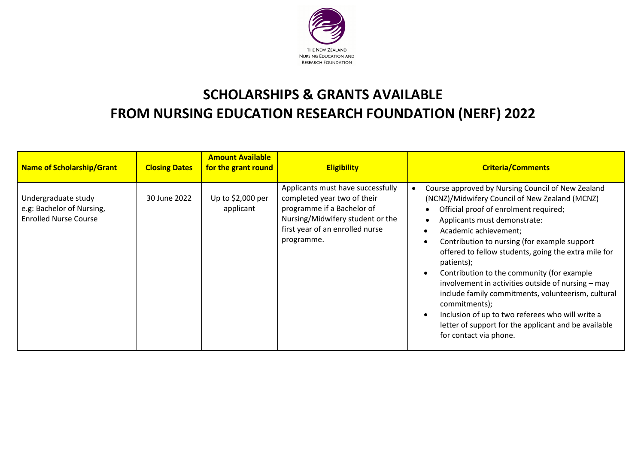

## **SCHOLARSHIPS & GRANTS AVAILABLE FROM NURSING EDUCATION RESEARCH FOUNDATION (NERF) 2022**

| <b>Name of Scholarship/Grant</b>                                                 | <b>Closing Dates</b> | <b>Amount Available</b><br>for the grant round | <b>Eligibility</b>                                                                                                                                                                  | <b>Criteria/Comments</b>                                                                                                                                                                                                                                                                                                                                                                                                                                                                                                                                                                                                                     |
|----------------------------------------------------------------------------------|----------------------|------------------------------------------------|-------------------------------------------------------------------------------------------------------------------------------------------------------------------------------------|----------------------------------------------------------------------------------------------------------------------------------------------------------------------------------------------------------------------------------------------------------------------------------------------------------------------------------------------------------------------------------------------------------------------------------------------------------------------------------------------------------------------------------------------------------------------------------------------------------------------------------------------|
| Undergraduate study<br>e.g: Bachelor of Nursing,<br><b>Enrolled Nurse Course</b> | 30 June 2022         | Up to \$2,000 per<br>applicant                 | Applicants must have successfully<br>completed year two of their<br>programme if a Bachelor of<br>Nursing/Midwifery student or the<br>first year of an enrolled nurse<br>programme. | Course approved by Nursing Council of New Zealand<br>(NCNZ)/Midwifery Council of New Zealand (MCNZ)<br>Official proof of enrolment required;<br>Applicants must demonstrate:<br>Academic achievement;<br>Contribution to nursing (for example support<br>offered to fellow students, going the extra mile for<br>patients);<br>Contribution to the community (for example<br>involvement in activities outside of nursing - may<br>include family commitments, volunteerism, cultural<br>commitments);<br>Inclusion of up to two referees who will write a<br>letter of support for the applicant and be available<br>for contact via phone. |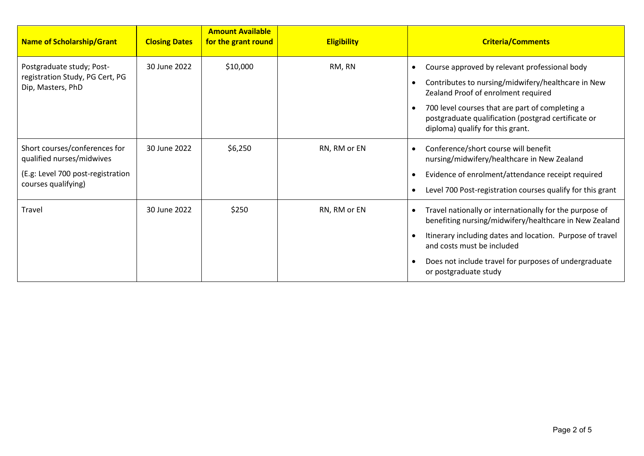| <b>Name of Scholarship/Grant</b>                                                                                       | <b>Closing Dates</b> | <b>Amount Available</b><br>for the grant round | <b>Eligibility</b> | <b>Criteria/Comments</b>                                                                                                                                                                                                                                                                                           |
|------------------------------------------------------------------------------------------------------------------------|----------------------|------------------------------------------------|--------------------|--------------------------------------------------------------------------------------------------------------------------------------------------------------------------------------------------------------------------------------------------------------------------------------------------------------------|
| Postgraduate study; Post-<br>registration Study, PG Cert, PG<br>Dip, Masters, PhD                                      | 30 June 2022         | \$10,000                                       | RM, RN             | Course approved by relevant professional body<br>$\bullet$<br>Contributes to nursing/midwifery/healthcare in New<br>$\bullet$<br>Zealand Proof of enrolment required<br>700 level courses that are part of completing a<br>postgraduate qualification (postgrad certificate or<br>diploma) qualify for this grant. |
| Short courses/conferences for<br>qualified nurses/midwives<br>(E.g: Level 700 post-registration<br>courses qualifying) | 30 June 2022         | \$6,250                                        | RN, RM or EN       | Conference/short course will benefit<br>nursing/midwifery/healthcare in New Zealand<br>Evidence of enrolment/attendance receipt required<br>Level 700 Post-registration courses qualify for this grant                                                                                                             |
| Travel                                                                                                                 | 30 June 2022         | \$250                                          | RN, RM or EN       | Travel nationally or internationally for the purpose of<br>$\bullet$<br>benefiting nursing/midwifery/healthcare in New Zealand<br>Itinerary including dates and location. Purpose of travel<br>and costs must be included<br>Does not include travel for purposes of undergraduate<br>or postgraduate study        |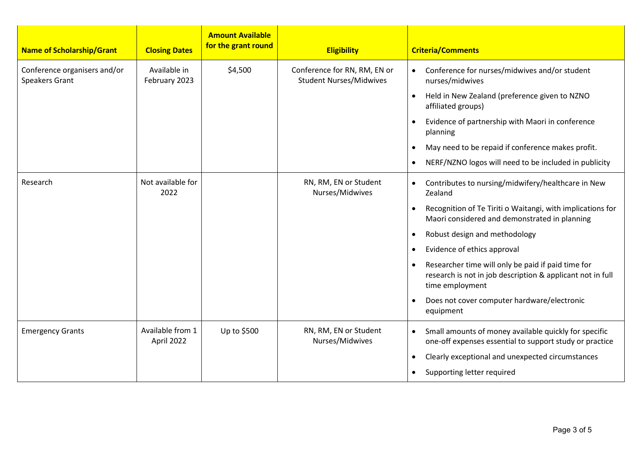| <b>Name of Scholarship/Grant</b>                      | <b>Closing Dates</b>           | <b>Amount Available</b><br>for the grant round | <b>Eligibility</b>                                             | <b>Criteria/Comments</b>                                                                                                            |
|-------------------------------------------------------|--------------------------------|------------------------------------------------|----------------------------------------------------------------|-------------------------------------------------------------------------------------------------------------------------------------|
| Conference organisers and/or<br><b>Speakers Grant</b> | Available in<br>February 2023  | \$4,500                                        | Conference for RN, RM, EN or<br><b>Student Nurses/Midwives</b> | Conference for nurses/midwives and/or student<br>$\bullet$<br>nurses/midwives                                                       |
|                                                       |                                |                                                |                                                                | Held in New Zealand (preference given to NZNO<br>$\bullet$<br>affiliated groups)                                                    |
|                                                       |                                |                                                |                                                                | Evidence of partnership with Maori in conference<br>$\bullet$<br>planning                                                           |
|                                                       |                                |                                                |                                                                | May need to be repaid if conference makes profit.<br>$\bullet$                                                                      |
|                                                       |                                |                                                |                                                                | NERF/NZNO logos will need to be included in publicity<br>$\bullet$                                                                  |
| Research                                              | Not available for<br>2022      |                                                | RN, RM, EN or Student<br>Nurses/Midwives                       | Contributes to nursing/midwifery/healthcare in New<br>$\bullet$<br>Zealand                                                          |
|                                                       |                                |                                                |                                                                | Recognition of Te Tiriti o Waitangi, with implications for<br>$\bullet$<br>Maori considered and demonstrated in planning            |
|                                                       |                                |                                                |                                                                | Robust design and methodology<br>$\bullet$                                                                                          |
|                                                       |                                |                                                |                                                                | Evidence of ethics approval<br>$\bullet$                                                                                            |
|                                                       |                                |                                                |                                                                | Researcher time will only be paid if paid time for<br>research is not in job description & applicant not in full<br>time employment |
|                                                       |                                |                                                |                                                                | Does not cover computer hardware/electronic<br>$\bullet$<br>equipment                                                               |
| <b>Emergency Grants</b>                               | Available from 1<br>April 2022 | Up to \$500                                    | RN, RM, EN or Student<br>Nurses/Midwives                       | Small amounts of money available quickly for specific<br>$\bullet$<br>one-off expenses essential to support study or practice       |
|                                                       |                                |                                                |                                                                | Clearly exceptional and unexpected circumstances<br>$\bullet$                                                                       |
|                                                       |                                |                                                |                                                                | Supporting letter required<br>$\bullet$                                                                                             |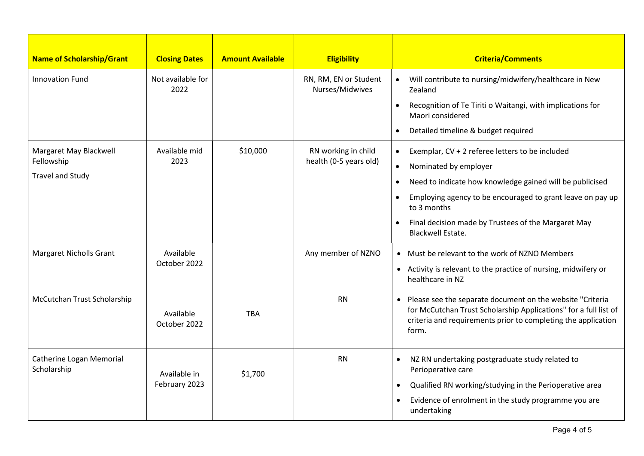| <b>Name of Scholarship/Grant</b>        | <b>Closing Dates</b>      | <b>Amount Available</b> | <b>Eligibility</b>                       | <b>Criteria/Comments</b>                                                                                                                                                                                             |
|-----------------------------------------|---------------------------|-------------------------|------------------------------------------|----------------------------------------------------------------------------------------------------------------------------------------------------------------------------------------------------------------------|
| <b>Innovation Fund</b>                  | Not available for<br>2022 |                         | RN, RM, EN or Student<br>Nurses/Midwives | Will contribute to nursing/midwifery/healthcare in New<br>$\bullet$<br>Zealand                                                                                                                                       |
|                                         |                           |                         |                                          | Recognition of Te Tiriti o Waitangi, with implications for<br>$\bullet$<br>Maori considered                                                                                                                          |
|                                         |                           |                         |                                          | Detailed timeline & budget required<br>$\bullet$                                                                                                                                                                     |
| Margaret May Blackwell                  | Available mid             | \$10,000                | RN working in child                      | Exemplar, CV + 2 referee letters to be included<br>$\bullet$                                                                                                                                                         |
| Fellowship                              | 2023                      |                         | health (0-5 years old)                   | Nominated by employer<br>٠                                                                                                                                                                                           |
| <b>Travel and Study</b>                 |                           |                         |                                          | Need to indicate how knowledge gained will be publicised<br>$\bullet$                                                                                                                                                |
|                                         |                           |                         |                                          | Employing agency to be encouraged to grant leave on pay up<br>$\bullet$<br>to 3 months                                                                                                                               |
|                                         |                           |                         |                                          | Final decision made by Trustees of the Margaret May<br>$\bullet$<br><b>Blackwell Estate.</b>                                                                                                                         |
| <b>Margaret Nicholls Grant</b>          | Available                 |                         | Any member of NZNO                       | • Must be relevant to the work of NZNO Members                                                                                                                                                                       |
|                                         | October 2022              |                         |                                          | • Activity is relevant to the practice of nursing, midwifery or<br>healthcare in NZ                                                                                                                                  |
| McCutchan Trust Scholarship             | Available<br>October 2022 | <b>TBA</b>              | <b>RN</b>                                | Please see the separate document on the website "Criteria<br>$\bullet$<br>for McCutchan Trust Scholarship Applications" for a full list of<br>criteria and requirements prior to completing the application<br>form. |
| Catherine Logan Memorial<br>Scholarship | Available in              | \$1,700                 | <b>RN</b>                                | NZ RN undertaking postgraduate study related to<br>$\bullet$<br>Perioperative care                                                                                                                                   |
|                                         | February 2023             |                         |                                          | Qualified RN working/studying in the Perioperative area<br>$\bullet$                                                                                                                                                 |
|                                         |                           |                         |                                          | Evidence of enrolment in the study programme you are<br>undertaking                                                                                                                                                  |